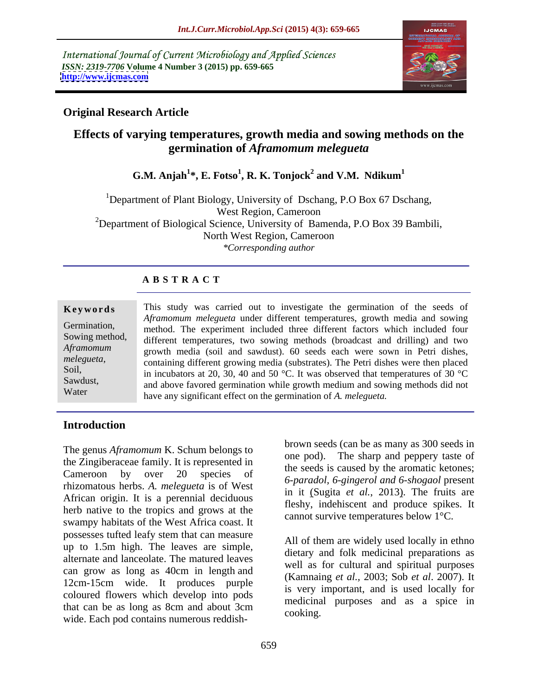International Journal of Current Microbiology and Applied Sciences *ISSN: 2319-7706* **Volume 4 Number 3 (2015) pp. 659-665 <http://www.ijcmas.com>**



# **Original Research Article**

# **Effects of varying temperatures, growth media and sowing methods on the germination of** *Aframomum melegueta*

 $\mathbf{G.M.}$  Anjah $^{1*}$ , **E.** Fotso $^{1}$ , **R. K.** Tonjock $^{2}$  and **V.M.** Ndikum $^{1}$  **and V.M. Ndikum<sup>1</sup>**

<sup>1</sup>Department of Plant Biology, University of Dschang, P.O Box 67 Dschang, West Region, Cameroon <sup>2</sup>Department of Biological Science, University of Bamenda, P.O Box 39 Bambili, North West Region, Cameroon *\*Corresponding author*

## **A B S T R A C T**

| Keywords       | This study was carried out to investigate the germination of the seeds of          |  |  |
|----------------|------------------------------------------------------------------------------------|--|--|
|                | Aframomum melegueta under different temperatures, growth media and sowing          |  |  |
| Germination,   | method. The experiment included three different factors which included four        |  |  |
| Sowing method, | different temperatures, two sowing methods (broadcast and drilling) and two        |  |  |
| Aframomum      | growth media (soil and sawdust). 60 seeds each were sown in Petri dishes,          |  |  |
| melegueta,     | containing different growing media (substrates). The Petri dishes were then placed |  |  |
| Soil,          | in incubators at 20, 30, 40 and 50 °C. It was observed that temperatures of 30 °C  |  |  |
| Sawdust,       | and above favored germination while growth medium and sowing methods did not       |  |  |
| Water          | have any significant effect on the germination of A. <i>melegueta</i> .            |  |  |

## **Introduction**

the Zingiberaceae family. It is represented in Cameroon by over 20 species of the secase is caused by the around retories, rhizomatous herbs. *A. melegueta* is of West African origin. It is a perennial deciduous herb native to the tropics and grows at the swampy habitats of the West Africa coast. It possesses tufted leafy stem that can measure up to 1.5m high. The leaves are simple, alternate and lanceolate. The matured leaves can grow as long as 40cm in length and 12cm-15cm wide. It produces purple coloured flowers which develop into pods that can be as long as 8cm and about 3cm The genus *Aframomum* K. Schum belongs to<br>
the Zingiberaceae family. It is represented in<br>
contains on the seeds is caused by the armoric scheme of<br>
the seeds is caused by the armoric ketones;<br>
for a merodinal contains of

The genus *Aframomum* K. Schum belongs to brown seeds (can be as many as 300 seeds in one pod). The sharp and peppery taste of the seeds is caused by the aromatic ketones; *6-paradol, 6-gingerol and 6-shogaol* present in it (Sugita *et al.*, 2013). The fruits are fleshy, indehiscent and produce spikes. It cannot survive temperatures below 1°C.

> All of them are widely used locally in ethno dietary and folk medicinal preparations as well as for cultural and spiritual purposes (Kamnaing *et al.,* 2003; Sob *et al*. 2007). It is very important, and is used locally for medicinal purposes and as a spice in cooking.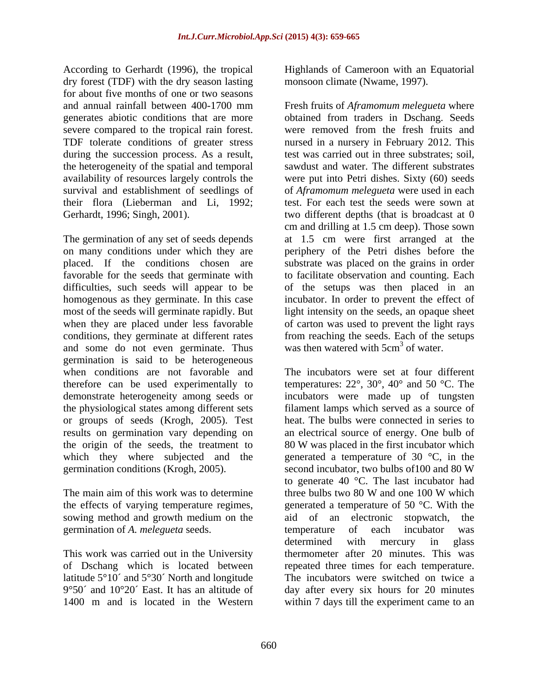According to Gerhardt (1996), the tropical dry forest (TDF) with the dry season lasting for about five months of one or two seasons generates abiotic conditions that are more severe compared to the tropical rain forest. the heterogeneity of the spatial and temporal their flora (Lieberman and Li, 1992;

The germination of any set of seeds depends and some do not even germinate. Thus germination is said to be heterogeneous the origin of the seeds, the treatment to

The main aim of this work was to determine three bulbs two 80 W and one 100 W which sowing method and growth medium on the aid of an electronic stopwatch, the germination of *A. melegueta* seeds.

of Dschang which is located between 1400 m and is located in the Western within 7 days till the experiment came to an

Highlands of Cameroon with an Equatorial monsoon climate (Nwame, 1997).

and annual rainfall between 400-1700 mm Fresh fruits of *Aframomum melegueta* where TDF tolerate conditions of greater stress nursed in a nursery in February 2012. This during the succession process. As a result, test was carried out in three substrates; soil, availability of resources largely controls the were put into Petri dishes. Sixty (60) seeds survival and establishment of seedlings of of *Aframomum melegueta* were used in each Gerhardt, 1996; Singh, 2001). two different depths (that is broadcast at 0 on many conditions under which they are periphery of the Petri dishes before the placed. If the conditions chosen are substrate was placed on the grains in order favorable for the seeds that germinate with to facilitate observation and counting. Each difficulties, such seeds will appear to be of the setups was then placed in an homogenous as they germinate. In this case incubator. In order to prevent the effect of most of the seeds will germinate rapidly. But light intensity on the seeds, an opaque sheet when they are placed under less favorable of carton was used to prevent the light rays conditions, they germinate at different rates from reaching the seeds. Each of the setups obtained from traders in Dschang. Seeds were removed from the fresh fruits and sawdust and water. The different substrates test. For each test the seeds were sown at cm and drilling at 1.5 cm deep). Those sown at 1.5 cm were first arranged at the was then watered with  $5 \text{cm}^3$  of water. of water.

when conditions are not favorable and The incubators were set at four different therefore can be used experimentally to temperatures:  $22^{\circ}$ ,  $30^{\circ}$ ,  $40^{\circ}$  and  $50^{\circ}$ C. The demonstrate heterogeneity among seeds or incubators were made up of tungsten the physiological states among different sets filament lamps which served as a source of or groups of seeds (Krogh, 2005). Test heat. The bulbs were connected in series to results on germination vary depending on an electrical source of energy. One bulb of which they where subjected and the generated a temperature of  $30^{\circ}$ C, in the germination conditions (Krogh, 2005). second incubator, two bulbs of100 and 80 W the effects of varying temperature regimes, generated a temperature of 50  $\degree$ C. With the This work was carried out in the University thermometer after 20 minutes. This was latitude 5°10´ and 5°30´ North and longitude The incubators were switched on twice a 9°50´ and 10°20´ East. It has an altitude of day after every six hours for 20 minutes 80 W was placed in the first incubator which to generate 40 °C. The last incubator had three bulbs two 80 W and one 100 W which aid of an electronic stopwatch, the temperature of each incubator was determined with mercury in glass repeated three times for each temperature.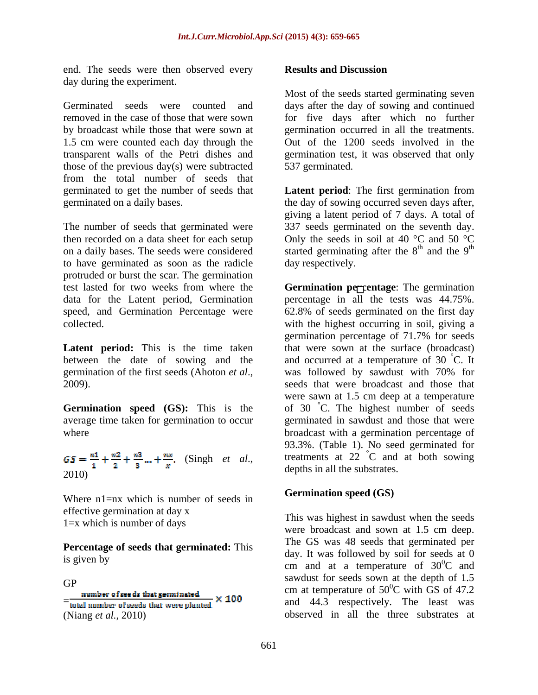end. The seeds were then observed every **Results and Discussion** day during the experiment.

Germinated seeds were counted and days after the day of sowing and continued removed in the case of those that were sown for five days after which no further by broadcast while those that were sown at germination occurred in all the treatments. 1.5 cm were counted each day through the Out of the 1200 seeds involved in the transparent walls of the Petri dishes and germination test, it was observed that only those of the previous day(s) were subtracted from the total number of seeds that germinated to get the number of seeds that **Latent period**: The first germination from germinated on a daily bases. the day of sowing occurred seven days after,

The number of seeds that germinated were then recorded on a data sheet for each setup to have germinated as soon as the radicle protruded or burst the scar. The germination

between the date of sowing and the germination of the first seeds (Ahoton *et al*.,

**Germination speed (GS):** This is the

 $GS = \frac{n1}{1} + \frac{n2}{2} + \frac{n3}{3} ... + \frac{n}{x}$ . (Singh *et al.*, 2010)

Where  $n1=nx$  which is number of seeds in effective germination at day x 1=x which is number of days

**Percentage of seeds that germinated:** This

(Niang *et al.*, 2010) observed in all the three substrates at

#### **Results and Discussion**

Most of the seeds started germinating seven 537 germinated.

on a daily bases. The seeds were considered started germinating after the  $8<sup>th</sup>$  and the  $9<sup>th</sup>$ giving a latent period of 7 days. A total of 337 seeds germinated on the seventh day. Only the seeds in soil at 40  $^{\circ}$ C and 50  $^{\circ}$ C  $th$  and the  $0^{th}$ and the  $9<sup>th</sup>$ th day respectively.

test lasted for two weeks from where the **Germination percentage**: The germination data for the Latent period, Germination percentage in all the tests was 44.75%. speed, and Germination Percentage were 62.8% of seeds germinated on the first day collected. with the highest occurring in soil, giving a **Latent period:** This is the time taken that were sown at the surface (broadcast) 2009). seeds that were broadcast and those that average time taken for germination to occur germinated in sawdust and those that were where broadcast with a germination percentage of germination percentage of 71.7% for seeds and occurred at a temperature of 30 °C. It  $\rm^{\circ}C.$  It was followed by sawdust with 70% for were sawn at 1.5 cm deep at a temperature of 30 °C. The highest number of seeds 93.3%. (Table 1). No seed germinated for treatments at  $22\degree C$  and at both sowing °C and at both sowing depths in all the substrates.

### **Germination speed (GS)**

is given by  $\frac{u}{2}$  and at a temperature of  $30^{\circ}$ C and GP<br>  $\frac{\text{number of seeds that germinated}}{\text{total number of seeds that were planted}} \times 100$ <br>  $\frac{\text{cm at temperature of } 50^0 \text{C with GS of } 47.2}{\text{cm at temperature of } 50^0 \text{C with GS of } 47.2}$ This was highest in sawdust when the seeds were broadcast and sown at 1.5 cm deep. The GS was 48 seeds that germinated per day. It was followed by soil for seeds at 0  ${}^{0}C$  and sawdust for seeds sown at the depth of 1.5 cm at temperature of  $50^{\circ}$ C with GS of 47.2  $\rm{^{0}C}$  with GS of 47.2 and 44.3 respectively. The least was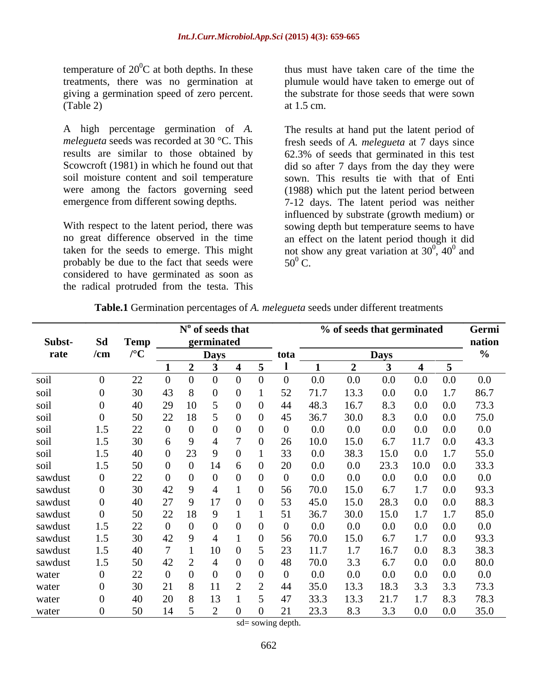temperature of  $20^0$ C at both depths. In these giving a germination speed of zero percent.

A high percentage germination of *A.*  The results at hand put the latent period of *melegueta* seeds was recorded at 30 °C. This fresh seeds of *A. melegueta* at 7 days since results are similar to those obtained by 62.3% of seeds that germinated in this test Scowcroft (1981) in which he found out that did so after 7 days from the day they were soil moisture content and soil temperature sown. This results tie with that of Enti were among the factors governing seed (1988) which put the latent period between

probably be due to the fact that seeds were  $50^0$  C. considered to have germinated as soon as the radical protruded from the testa. This

 ${}^{0}C$  at both depths. In these thus must have taken care of the time the treatments, there was no germination at plumule would have taken to emerge out of  $(\text{Table 2})$  at  $1.5 \text{ cm}$ . the substrate for those seeds that were sown at 1.5 cm.

emergence from different sowing depths. 7-12 days. The latent period was neither With respect to the latent period, there was sowing depth but temperature seems to have no great difference observed in the time an effect on the latent period though it did taken for the seeds to emerge. This might not show any great variation at  $30^0$ ,  $40^0$  and influenced by substrate (growth medium) or  $^{0}$   $^{10}$  and  $, 40^{\circ}$  and  $^{0}$  and and  $50^0$  C. C.

|                             |    |            | $N0$ of seeds that           |      |                           | % of seeds that germinated | Germi               |
|-----------------------------|----|------------|------------------------------|------|---------------------------|----------------------------|---------------------|
| Subst- Sd Temp              |    | germinated |                              |      |                           |                            | nation              |
| rate /cm $/^\circ \text{C}$ |    |            | Days                         | tota |                           | <b>Days</b>                |                     |
|                             |    |            |                              |      |                           |                            |                     |
| soil                        | 22 |            |                              |      | 0 <sub>0</sub><br>$0.0\,$ | 0.0                        | $0.0 \t 0.0 \t 0.0$ |
| soil                        |    |            |                              |      |                           | 133<br>0.0                 | 1.7 86.7            |
| soil                        |    |            |                              |      |                           |                            | 0 Q L               |
| soil                        |    |            |                              |      | 30.0                      |                            | 75.0<br>0.0         |
| soil                        |    |            |                              |      |                           |                            |                     |
| soil                        |    |            |                              |      |                           | 150                        | $0.0\qquad 43.3$    |
| soil                        |    |            |                              |      |                           |                            | $-55.0$             |
| soil                        |    |            |                              |      |                           |                            | $0.0\qquad 33.3$    |
| sawdust                     |    |            |                              |      |                           |                            |                     |
| sawdust                     |    |            |                              |      |                           | 17<br>15 O                 | $0.0 \qquad 93.3$   |
| sawdust                     |    |            |                              |      |                           |                            | 0.0 88.3            |
| sawdust                     |    |            |                              |      | 30.0                      | 15. $0$                    | $1.7$ $1.7$ $85.0$  |
| sawdust                     |    |            |                              |      |                           |                            | 0.0                 |
| sawdust                     |    |            |                              |      |                           | 17<br>150                  | 0.0                 |
| sawdust                     |    |            |                              |      |                           |                            | 8.3 38.3            |
| sawdust                     |    |            |                              |      |                           |                            | 0 <sub>0</sub>      |
| water                       |    |            |                              |      |                           |                            | $0.0 -$             |
| water                       |    |            |                              |      |                           |                            |                     |
| water                       |    |            |                              |      | 33.3                      | 21.7 1.7 8.3 78.3<br>13.3  |                     |
| water                       | 50 | - 14       | $\mathbf{0}$<br>$\mathbf{U}$ |      | 23.3                      | 8.3 3.3 0.0 0.0 35.0       |                     |

**Table.1** Germination percentages of *A. melegueta* seeds under different treatments

sd= sowing depth.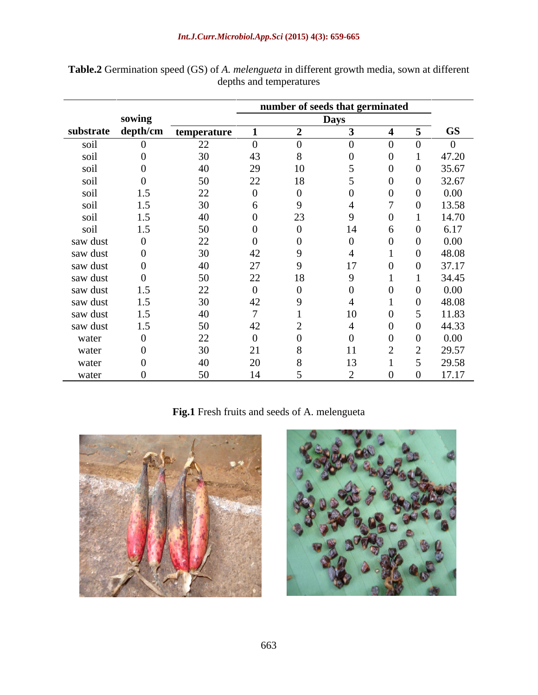| substrate depth/cm<br>soil<br>soil<br>soil<br>soil<br>soil<br>soil<br>soil<br>soil<br>saw dust<br>saw dust<br>saw dust<br>saw dust<br>saw dust<br>saw dust | sowing<br>1.5<br>1.5<br>1.5<br>1.5 | temperature<br>22<br>44<br>30<br>40<br>50<br>22<br>30<br>40<br>50<br>22<br>30 | 2 <sub>5</sub><br>22<br>∠∠   | TÛ<br>18<br>$\cap$ | <b>Days</b> | $\sqrt{2}$ | <b>GS</b><br>$\theta$<br>47.20<br>35.67<br>32.67<br>$0.00\,$<br>13.58<br>14.70<br>6.17<br>$0.00\,$ |
|------------------------------------------------------------------------------------------------------------------------------------------------------------|------------------------------------|-------------------------------------------------------------------------------|------------------------------|--------------------|-------------|------------|----------------------------------------------------------------------------------------------------|
|                                                                                                                                                            |                                    |                                                                               |                              |                    |             |            |                                                                                                    |
|                                                                                                                                                            |                                    |                                                                               |                              |                    |             |            |                                                                                                    |
|                                                                                                                                                            |                                    |                                                                               |                              |                    |             |            |                                                                                                    |
|                                                                                                                                                            |                                    |                                                                               |                              |                    |             |            |                                                                                                    |
|                                                                                                                                                            |                                    |                                                                               |                              |                    |             |            |                                                                                                    |
|                                                                                                                                                            |                                    |                                                                               |                              |                    |             |            |                                                                                                    |
|                                                                                                                                                            |                                    |                                                                               |                              |                    |             |            |                                                                                                    |
|                                                                                                                                                            |                                    |                                                                               |                              |                    |             |            |                                                                                                    |
|                                                                                                                                                            |                                    |                                                                               |                              |                    |             |            |                                                                                                    |
|                                                                                                                                                            |                                    |                                                                               |                              |                    |             |            |                                                                                                    |
|                                                                                                                                                            |                                    |                                                                               |                              |                    |             |            |                                                                                                    |
|                                                                                                                                                            |                                    |                                                                               | 44                           |                    |             |            | 48.08                                                                                              |
|                                                                                                                                                            |                                    | 40                                                                            | $\overline{2}$<br>$\angle$ / |                    |             |            | 37.17                                                                                              |
|                                                                                                                                                            |                                    | 50                                                                            | 22                           | 18                 |             |            | 34.45                                                                                              |
|                                                                                                                                                            |                                    | 22                                                                            |                              |                    |             |            | $0.00\,$                                                                                           |
|                                                                                                                                                            | 1.5                                | 30                                                                            |                              |                    |             |            | 48.08                                                                                              |
| saw dust                                                                                                                                                   |                                    | 40                                                                            |                              |                    |             |            | 11.83                                                                                              |
| saw dust                                                                                                                                                   | 1.5                                | 50                                                                            |                              |                    |             |            | 44.33                                                                                              |
| water                                                                                                                                                      |                                    | 22                                                                            |                              |                    |             |            | $0.00\,$                                                                                           |
| water                                                                                                                                                      |                                    | 30                                                                            |                              |                    |             |            | 29.57                                                                                              |
| water                                                                                                                                                      |                                    | 40                                                                            |                              |                    |             |            | 29.58                                                                                              |
| water                                                                                                                                                      |                                    | 50                                                                            |                              |                    |             |            | 17.17                                                                                              |

**Table.2** Germination speed (GS) of *A. melengueta* in different growth media, sown at different depths and temperatures

# **Fig.1** Fresh fruits and seeds of A. melengueta



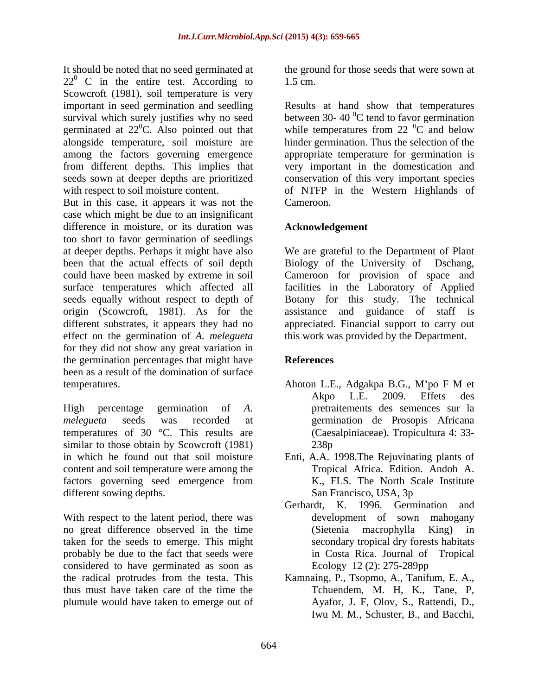It should be noted that no seed germinated at  $22^{\circ}$  C in the entire test. According to 1.5 cm. Scowcroft (1981), soil temperature is very important in seed germination and seedling a Results at hand show that temperatures survival which surely justifies why no seed between 30-40  $\mathrm{°C}$  tend to favor germination germinated at  $22^{\circ}$ C. Also pointed out that while temperatures from 22  $^{\circ}$ C and below alongside temperature, soil moisture are hinder germination. Thus the selection of the among the factors governing emergence appropriate temperature for germination is from different depths. This implies that seeds sown at deeper depths are prioritized conservation of this very important species

But in this case, it appears it was not the Cameroon. case which might be due to an insignificant difference in moisture, or its duration was too short to favor germination of seedlings at deeper depths. Perhaps it might have also We are grateful to the Department of Plant been that the actual effects of soil depth Biology of the University of Dschang, could have been masked by extreme in soil Cameroon for provision of space and surface temperatures which affected all facilities in the Laboratory of Applied seeds equally without respect to depth of Botany for this study. The technical origin (Scowcroft, 1981). As for the assistance and guidance of staff is different substrates, it appears they had no appreciated. Financial support to carry out effect on the germination of *A. melegueta* for they did not show any great variation in the germination percentages that might have **References** been as a result of the domination of surface temperatures. Ahoton L.E., Adgakpa B.G., M'po F M et

High percentage germination of *A.*  pretraitements des semences sur la *melegueta* seeds was recorded at germination de Prosopis Africana temperatures of 30 °C. This results are similar to those obtain by Scowcroft (1981) 238p in which he found out that soil moisture Enti, A.A. 1998.The Rejuvinating plants of content and soil temperature were among the factors governing seed emergence from different sowing depths. San Francisco, USA, 3p

With respect to the latent period, there was no great difference observed in the time (Sietenia macrophylla King) in taken for the seeds to emerge. This might probably be due to the fact that seeds were considered to have germinated as soon as the radical protrudes from the testa. This Kamnaing, P., Tsopmo, A., Tanifum, E. A., thus must have taken care of the time the plumule would have taken to emerge out of

the ground for those seeds that were sown at 1.5 cm.

with respect to soil moisture content. The Solem of NTFP in the Western Highlands of  ${}^{0}C$  tend to favor germination  ${}^{0}C$  and below very important in the domestication and Cameroon.

### **Acknowledgement**

Biology of the University of this work was provided by the Department.

### **References**

- Ahoton L.E., Adgakpa B.G., M'po F M et Akpo L.E. 2009. Effets des (Caesalpiniaceae). Tropicultura 4: 33- 238p
- Tropical Africa. Edition. Andoh A. K., FLS. The North Scale Institute San Francisco, USA, 3p
- Gerhardt, K. 1996. Germination and development of sown mahogany (Sietenia macrophylla King) in secondary tropical dry forests habitats in Costa Rica. Journal of Tropical Ecology 12 (2): 275-289pp
- Tchuendem, M. H, K., Tane, P, Ayafor, J. F, Olov, S., Rattendi, D., Iwu M. M., Schuster, B., and Bacchi,